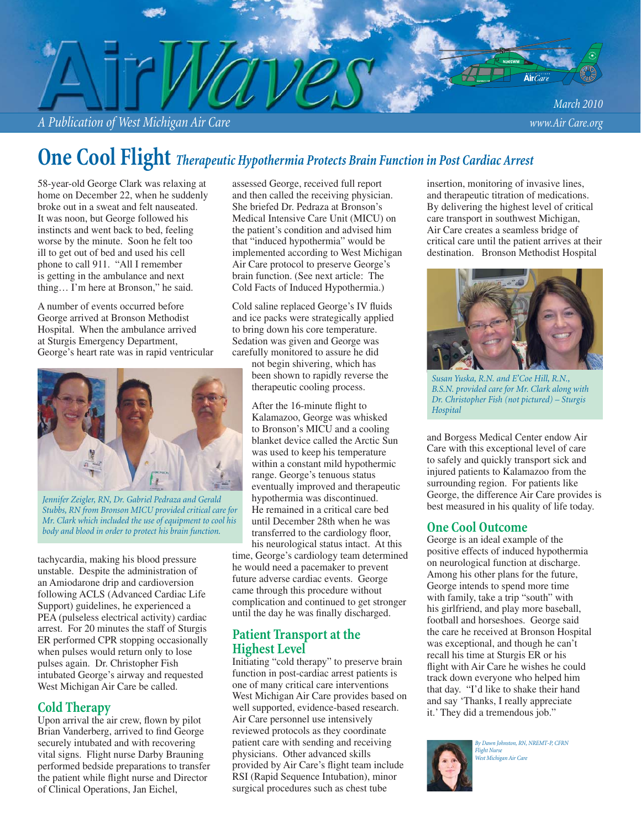*A Publication of West Michigan Air Care www.Air Care.org*

# **One Cool Flight** *Therapeutic Hypothermia Protects Brain Function in Post Cardiac Arrest*

58-year-old George Clark was relaxing at home on December 22, when he suddenly broke out in a sweat and felt nauseated. It was noon, but George followed his instincts and went back to bed, feeling worse by the minute. Soon he felt too ill to get out of bed and used his cell phone to call 911. "All I remember is getting in the ambulance and next thing… I'm here at Bronson," he said.

A number of events occurred before George arrived at Bronson Methodist Hospital. When the ambulance arrived at Sturgis Emergency Department, George's heart rate was in rapid ventricular



*Jennifer Zeigler, RN, Dr. Gabriel Pedraza and Gerald Stubbs, RN from Bronson MICU provided critical care for Mr. Clark which included the use of equipment to cool his body and blood in order to protect his brain function.*

tachycardia, making his blood pressure unstable. Despite the administration of an Amiodarone drip and cardioversion following ACLS (Advanced Cardiac Life Support) guidelines, he experienced a PEA (pulseless electrical activity) cardiac arrest. For 20 minutes the staff of Sturgis ER performed CPR stopping occasionally when pulses would return only to lose pulses again. Dr. Christopher Fish intubated George's airway and requested West Michigan Air Care be called.

### **Cold Therapy**

Upon arrival the air crew, flown by pilot Brian Vanderberg, arrived to find George securely intubated and with recovering vital signs. Flight nurse Darby Brauning performed bedside preparations to transfer the patient while flight nurse and Director of Clinical Operations, Jan Eichel,

assessed George, received full report and then called the receiving physician. She briefed Dr. Pedraza at Bronson's Medical Intensive Care Unit (MICU) on the patient's condition and advised him that "induced hypothermia" would be implemented according to West Michigan Air Care protocol to preserve George's brain function. (See next article: The Cold Facts of Induced Hypothermia.)

Cold saline replaced George's IV fluids and ice packs were strategically applied to bring down his core temperature. Sedation was given and George was carefully monitored to assure he did

not begin shivering, which has been shown to rapidly reverse the therapeutic cooling process.

After the 16-minute flight to Kalamazoo, George was whisked to Bronson's MICU and a cooling blanket device called the Arctic Sun was used to keep his temperature within a constant mild hypothermic range. George's tenuous status eventually improved and therapeutic hypothermia was discontinued. He remained in a critical care bed until December 28th when he was transferred to the cardiology floor, his neurological status intact. At this time, George's cardiology team determined he would need a pacemaker to prevent future adverse cardiac events. George came through this procedure without complication and continued to get stronger until the day he was finally discharged.

### **Patient Transport at the Highest Level**

Initiating "cold therapy" to preserve brain function in post-cardiac arrest patients is one of many critical care interventions West Michigan Air Care provides based on well supported, evidence-based research. Air Care personnel use intensively reviewed protocols as they coordinate patient care with sending and receiving physicians. Other advanced skills provided by Air Care's flight team include RSI (Rapid Sequence Intubation), minor surgical procedures such as chest tube

insertion, monitoring of invasive lines, and therapeutic titration of medications. By delivering the highest level of critical care transport in southwest Michigan, Air Care creates a seamless bridge of critical care until the patient arrives at their destination. Bronson Methodist Hospital



*Susan Yuska, R.N. and E'Coe Hill, R.N., B.S.N. provided care for Mr. Clark along with Dr. Christopher Fish (not pictured) – Sturgis Hospital*

and Borgess Medical Center endow Air Care with this exceptional level of care to safely and quickly transport sick and injured patients to Kalamazoo from the surrounding region. For patients like George, the difference Air Care provides is best measured in his quality of life today.

### **One Cool Outcome**

George is an ideal example of the positive effects of induced hypothermia on neurological function at discharge. Among his other plans for the future, George intends to spend more time with family, take a trip "south" with his girlfriend, and play more baseball, football and horseshoes. George said the care he received at Bronson Hospital was exceptional, and though he can't recall his time at Sturgis ER or his flight with Air Care he wishes he could track down everyone who helped him that day. "I'd like to shake their hand and say 'Thanks, I really appreciate it.' They did a tremendous job."



*By Dawn Johnston, RN, NREMT-P, CFRN Flight Nurse West Michigan Air Care*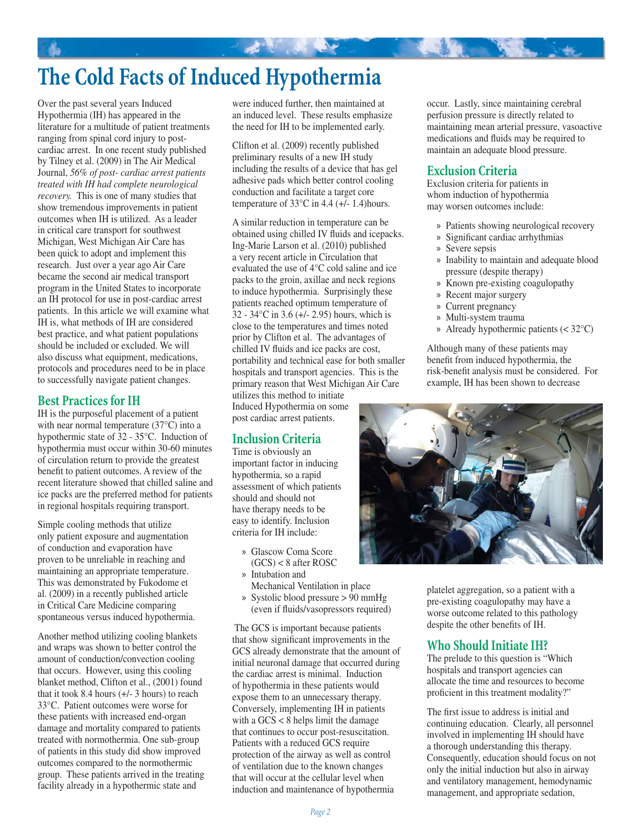# **The Cold Facts of Induced Hypothermia**

Over the past several years Induced Hypothermia (IH) has appeared in the literature for a multitude of patient treatments ranging from spinal cord injury to postcardiac arrest. In one recent study published by Tilney et al. (2009) in The Air Medical Journal, *56% of post- cardiac arrest patients treated with IH had complete neurological recovery.* This is one of many studies that show tremendous improvements in patient outcomes when IH is utilized. As a leader in critical care transport for southwest Michigan, West Michigan Air Care has been quick to adopt and implement this research. Just over a year ago Air Care became the second air medical transport program in the United States to incorporate an IH protocol for use in post-cardiac arrest patients. In this article we will examine what IH is, what methods of IH are considered best practice, and what patient populations should be included or excluded. We will also discuss what equipment, medications, protocols and procedures need to be in place to successfully navigate patient changes.

### **Best Practices for IH**

IH is the purposeful placement of a patient with near normal temperature (37°C) into a hypothermic state of 32 - 35°C. Induction of hypothermia must occur within 30-60 minutes of circulation return to provide the greatest benefit to patient outcomes. A review of the recent literature showed that chilled saline and ice packs are the preferred method for patients in regional hospitals requiring transport.

Simple cooling methods that utilize only patient exposure and augmentation of conduction and evaporation have proven to be unreliable in reaching and maintaining an appropriate temperature. This was demonstrated by Fukodome et al. (2009) in a recently published article in Critical Care Medicine comparing spontaneous versus induced hypothermia.

Another method utilizing cooling blankets and wraps was shown to better control the amount of conduction/convection cooling that occurs. However, using this cooling blanket method, Clifton et al., (2001) found that it took 8.4 hours (+/- 3 hours) to reach 33°C. Patient outcomes were worse for these patients with increased end-organ damage and mortality compared to patients treated with normothermia. One sub-group of patients in this study did show improved outcomes compared to the normothermic group. These patients arrived in the treating facility already in a hypothermic state and

were induced further, then maintained at an induced level. These results emphasize the need for IH to be implemented early.

Clifton et al. (2009) recently published preliminary results of a new IH study including the results of a device that has gel adhesive pads which better control cooling conduction and facilitate a target core temperature of  $33^{\circ}$ C in 4.4 (+/- 1.4) hours.

A similar reduction in temperature can be obtained using chilled IV fluids and icepacks. Ing-Marie Larson et al. (2010) published a very recent article in Circulation that evaluated the use of 4°C cold saline and ice packs to the groin, axillae and neck regions to induce hypothermia. Surprisingly these patients reached optimum temperature of 32 - 34°C in 3.6 (+/- 2.95) hours, which is close to the temperatures and times noted prior by Clifton et al. The advantages of chilled IV fluids and ice packs are cost, portability and technical ease for both smaller hospitals and transport agencies. This is the primary reason that West Michigan Air Care

utilizes this method to initiate Induced Hypothermia on some post cardiac arrest patients.

## **Inclusion Criteria**

Time is obviously an important factor in inducing hypothermia, so a rapid assessment of which patients should and should not have therapy needs to be easy to identify. Inclusion criteria for IH include:

- » Glascow Coma Score (GCS) < 8 after ROSC
- » Intubation and
- Mechanical Ventilation in place
- Systolic blood pressure > 90 mmHg (even if fluids/vasopressors required) »

 The GCS is important because patients that show significant improvements in the GCS already demonstrate that the amount of initial neuronal damage that occurred during the cardiac arrest is minimal. Induction of hypothermia in these patients would expose them to an unnecessary therapy. Conversely, implementing IH in patients with a GCS < 8 helps limit the damage that continues to occur post-resuscitation. Patients with a reduced GCS require protection of the airway as well as control of ventilation due to the known changes that will occur at the cellular level when induction and maintenance of hypothermia

occur. Lastly, since maintaining cerebral perfusion pressure is directly related to maintaining mean arterial pressure, vasoactive medications and fluids may be required to maintain an adequate blood pressure.

### **Exclusion Criteria**

Exclusion criteria for patients in whom induction of hypothermia may worsen outcomes include:

- » Patients showing neurological recovery
- » Significant cardiac arrhythmias
- » Severe sepsis
- » Inability to maintain and adequate blood pressure (despite therapy)
- » Known pre-existing coagulopathy
- » Recent major surgery
- Current pregnancy »
- Multi-system trauma »
- Already hypothermic patients (< 32°C) »

Although many of these patients may benefit from induced hypothermia, the risk-benefit analysis must be considered. For example, IH has been shown to decrease



platelet aggregation, so a patient with a pre-existing coagulopathy may have a worse outcome related to this pathology despite the other benefits of IH.

## **Who Should Initiate IH?**

The prelude to this question is "Which hospitals and transport agencies can allocate the time and resources to become proficient in this treatment modality?"

The first issue to address is initial and continuing education. Clearly, all personnel involved in implementing IH should have a thorough understanding this therapy. Consequently, education should focus on not only the initial induction but also in airway and ventilatory management, hemodynamic management, and appropriate sedation,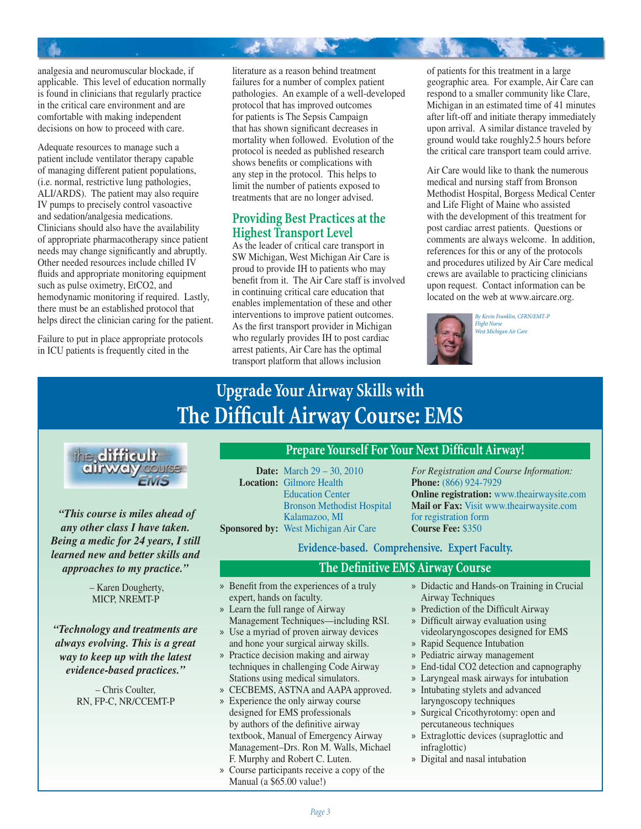analgesia and neuromuscular blockade, if applicable. This level of education normally is found in clinicians that regularly practice in the critical care environment and are comfortable with making independent decisions on how to proceed with care.

Adequate resources to manage such a patient include ventilator therapy capable of managing different patient populations, (i.e. normal, restrictive lung pathologies, ALI/ARDS). The patient may also require IV pumps to precisely control vasoactive and sedation/analgesia medications. Clinicians should also have the availability of appropriate pharmacotherapy since patient needs may change significantly and abruptly. Other needed resources include chilled IV fluids and appropriate monitoring equipment such as pulse oximetry, EtCO2, and hemodynamic monitoring if required. Lastly, there must be an established protocol that helps direct the clinician caring for the patient.

Failure to put in place appropriate protocols in ICU patients is frequently cited in the

literature as a reason behind treatment failures for a number of complex patient pathologies. An example of a well-developed protocol that has improved outcomes for patients is The Sepsis Campaign that has shown significant decreases in mortality when followed. Evolution of the protocol is needed as published research shows benefits or complications with any step in the protocol. This helps to limit the number of patients exposed to treatments that are no longer advised.

大家 医不

### **Providing Best Practices at the Highest Transport Level**

As the leader of critical care transport in SW Michigan, West Michigan Air Care is proud to provide IH to patients who may benefit from it. The Air Care staff is involved in continuing critical care education that enables implementation of these and other interventions to improve patient outcomes. As the first transport provider in Michigan who regularly provides IH to post cardiac arrest patients, Air Care has the optimal transport platform that allows inclusion

of patients for this treatment in a large geographic area. For example, Air Care can respond to a smaller community like Clare, Michigan in an estimated time of 41 minutes after lift-off and initiate therapy immediately upon arrival. A similar distance traveled by ground would take roughly2.5 hours before the critical care transport team could arrive.

Air Care would like to thank the numerous medical and nursing staff from Bronson Methodist Hospital, Borgess Medical Center and Life Flight of Maine who assisted with the development of this treatment for post cardiac arrest patients. Questions or comments are always welcome. In addition, references for this or any of the protocols and procedures utilized by Air Care medical crews are available to practicing clinicians upon request. Contact information can be located on the web at www.aircare.org.



*By Kevin Franklin, CFRN/EMT-P Flight Nurse West Michigan Air Care*

# **Upgrade Your Airway Skills with The Difficult Airway Course: EMS**



 *"This course is miles ahead of any other class I have taken. Being a medic for 24 years, I still learned new and better skills and approaches to my practice."*

> – Karen Dougherty, MICP, NREMT-P

*"Technology and treatments are always evolving. This is a great way to keep up with the latest evidence-based practices."*

> – Chris Coulter, RN, FP-C, NR/CCEMT-P

### **Prepare Yourself For Your Next Difficult Airway!**

**Date:** March 29 – 30, 2010 **Location:** Gilmore Health Education Center Bronson Methodist Hospital Kalamazoo, MI **Sponsored by:** West Michigan Air Care

*For Registration and Course Information:* **Phone:** (866) 924-7929 **Online registration:** www.theairwaysite.com **Mail or Fax:** Visit www.theairwaysite.com for registration form **Course Fee:** \$350

**Evidence-based. Comprehensive. Expert Faculty.**

### **The Definitive EMS Airway Course**

- Benefit from the experiences of a truly expert, hands on faculty. »
- Learn the full range of Airway » Management Techniques—including RSI.
- Use a myriad of proven airway devices and hone your surgical airway skills. »
- » Practice decision making and airway techniques in challenging Code Airway Stations using medical simulators.
- CECBEMS, ASTNA and AAPA approved. »
- » Experience the only airway course designed for EMS professionals by authors of the definitive airway textbook, Manual of Emergency Airway Management–Drs. Ron M. Walls, Michael F. Murphy and Robert C. Luten.
- Course participants receive a copy of the Manual (a \$65.00 value!) »
- » Didactic and Hands-on Training in Crucial Airway Techniques
- » Prediction of the Difficult Airway
- » Difficult airway evaluation using videolaryngoscopes designed for EMS
- » Rapid Sequence Intubation
- Pediatric airway management »
- End-tidal CO2 detection and capnography »
- Laryngeal mask airways for intubation »
- » Intubating stylets and advanced laryngoscopy techniques
- » Surgical Cricothyrotomy: open and percutaneous techniques
- Extraglottic devices (supraglottic and » infraglottic)
- Digital and nasal intubation »